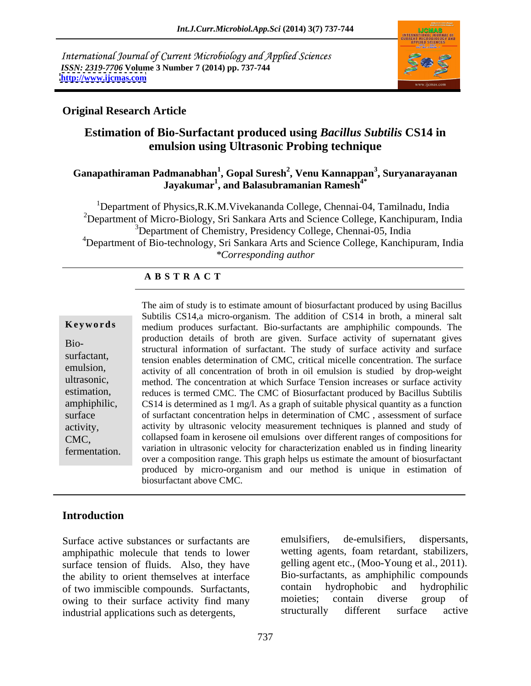International Journal of Current Microbiology and Applied Sciences *ISSN: 2319-7706* **Volume 3 Number 7 (2014) pp. 737-744 <http://www.ijcmas.com>**



### **Original Research Article**

### **Estimation of Bio-Surfactant produced using** *Bacillus Subtilis* **CS14 in emulsion using Ultrasonic Probing technique**

### **Ganapathiraman Padmanabhan<sup>1</sup> , Gopal Suresh<sup>2</sup> , Venu Kannappan<sup>3</sup> , Suryanarayanan Jayakumar1 , and Balasubramanian Ramesh4\***

<sup>1</sup>Department of Physics, R.K.M. Vivekananda College, Chennai-04, Tamilnadu, India <sup>2</sup>Department of Micro-Biology, Sri Sankara Arts and Science College, Kanchipuram, India <sup>3</sup>Department of Chemistry, Presidency College, Chennai-05, India <sup>4</sup>Department of Bio-technology, Sri Sankara Arts and Science College, Kanchipuram, India *\*Corresponding author*

### **A B S T R A C T**

| Keywords      |  |
|---------------|--|
| Bio-          |  |
| surfactant,   |  |
| emulsion,     |  |
| ultrasonic,   |  |
| estimation,   |  |
| amphiphilic,  |  |
| surface       |  |
| activity,     |  |
| CMC,          |  |
| fermentation. |  |
|               |  |

**Keywords** medium produces surfactant. Bio-surfactants are amphiphilic compounds. The Bio-<br>structural information of surfactant. The study of surface activity and surface surfactant,<br>
tension enables determination of CMC, critical micelle concentration. The surface emulsion, activity of all concentration of broth in oil emulsion is studied by drop-weight ultrasonic, method. The concentration at which Surface Tension increases or surface activity estimation, reduces is termed CMC. The CMC of Biosurfactant produced by Bacillus Subtilis amphiphilic, CS14 is determined as 1 mg/l. As a graph of suitable physical quantity as a function surface of surfactant concentration helps in determination of CMC, assessment of surface activity, activity by ultrasonic velocity measurement techniques is planned and study of CMC, collapsed foam in kerosene oil emulsions over different ranges of compositions for fermentation. variation in ultrasonic velocity for characterization enabled us in finding linearity The aim of study is to estimate amount of biosurfactant produced by using Bacillus Subtilis CS14,a micro-organism. The addition of CS14 in broth, a mineral salt production details of broth are given. Surface activity of supernatant gives over a composition range. This graph helps us estimate the amount of biosurfactant produced by micro-organism and our method is unique in estimation of biosurfactant above CMC.

### **Introduction**

amphipathic molecule that tends to lower surface tension of fluids. Also, they have the ability to orient themselves at interface<br>of two immiscible compounds Surfactants. Surfactants contain hydrophobic and hydrophilic of two immiscible compounds. Surfactants, contain hydrophobic and hydrophilic<br>owing to their surface activity find many moieties; contain diverse group of owing to their surface activity find many moieties; contain diverse group of industrial applications such as deteroents industrial applications such as detergents,

Surface active substances or surfactants are emulsifiers, de-emulsifiers, dispersants, emulsifiers, de-emulsifiers, dispersants, wetting agents, foam retardant, stabilizers, gelling agent etc., (Moo-Young et al., 2011). Bio-surfactants, as amphiphilic compounds contain hydrophobic and hydrophilic moieties; contain diverse group of structurally different surface active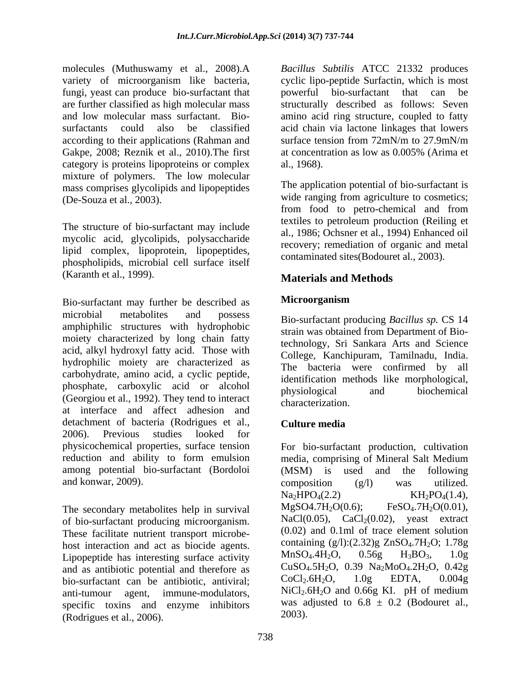molecules (Muthuswamy et al., 2008).A *Bacillus Subtilis* ATCC 21332 produces variety of microorganism like bacteria, cyclic lipo-peptide Surfactin, which is most fungi, yeast can produce bio-surfactant that are further classified as high molecular mass structurally described as follows: Seven and low molecular mass surfactant. Bio- amino acid ring structure, coupled to fatty surfactants could also be classified acid chain via lactone linkages that lowers according to their applications (Rahman and surface tension from 72mN/m to 27.9mN/m Gakpe, 2008; Reznik et al., 2010). The first at concentration as low as 0.005% (Arima et category is proteins lipoproteins or complex al., 1968). mixture of polymers. The low molecular mass comprises glycolipids and lipopeptides

The structure of bio-surfactant may include mycolic acid, glycolipids, polysaccharide lipid complex, lipoprotein, lipopeptides, phospholipids, microbial cell surface itself (Karanth et al., 1999). **Example 2 Materials and Methods** 

Bio-surfactant may further be described as microbial metabolites and possess Bio-surfactant producing *Bacillus sp.* CS 14 amphiphilic structures with hydrophobic moiety characterized by long chain fatty acid, alkyl hydroxyl fatty acid. Those with hydrophilic moiety are characterized as carbohydrate, amino acid, a cyclic peptide, phosphate, carboxylic acid or alcohol physiological and biochemical (Georgiou et al., 1992). They tend to interact<br>characterization at interface and affect adhesion and detachment of bacteria (Rodrigues et al., Culture media 2006). Previous studies looked for among potential bio-surfactant (Bordoloi and konwar, 2009).  $composition$  ( $g/l$ ) was utilized.

The secondary metabolites help in survival  $MgSO4.7H_2O(0.6);$ of bio-surfactant producing microorganism. These facilitate nutrient transport microbe host interaction and act as biocide agents.<br>
Linopentide has interesting surface activity<br>  $\text{MnSO}_4.4H_2O$ ,  $0.56g$   $H_3BO_3$ ,  $1.0g$ Lipopeptide has interesting surface activity and as antibiotic potential and therefore as  $CuSO<sub>4</sub>.5H<sub>2</sub>O$ , 0.39 Na<sub>2</sub>MoO<sub>4</sub>.2H<sub>2</sub>O, 0.42g<br>highlightness coclouses the antibiotic antiviral:  $CoCl<sub>2</sub>.6H<sub>2</sub>O$ , 1.0g EDTA, 0.004g bio-surfactant can be antibiotic, antiviral; specific toxins and enzyme inhibitors (Rodrigues et al., 2006).

powerful bio-surfactant that can be surface tension from 72mN/m to 27.9mN/m at concentration as low as 0.005% (Arima et al., 1968).

(De-Souza et al., 2003). wide ranging from agriculture to cosmetics; The application potential of bio-surfactant is from food to petro-chemical and from textiles to petroleum production (Reiling et al., 1986; Ochsner et al., 1994) Enhanced oil recovery; remediation of organic and metal contaminated sites(Bodouret al., 2003).

## **Materials and Methods**

### **Microorganism**

strain was obtained from Department of Biotechnology, Sri Sankara Arts and Science College, Kanchipuram, Tamilnadu, India. The bacteria were confirmed by all identification methods like morphological, physiological and biochemical characterization.

### **Culture media**

physicochemical properties, surface tension For bio-surfactant production, cultivation reduction and ability to form emulsion media, comprising of Mineral Salt Medium anti-tumour agent, immune-modulators,  $NiCl<sub>2</sub>.6H<sub>2</sub>O$  and 0.66g KI. pH of medium  $(MSM)$  is used and the composition (g/l) was utilized.  $Na<sub>2</sub>HPO<sub>4</sub>(2.2)$  KH<sub>2</sub>PO<sub>4</sub>(1.4),  $FeSO<sub>4</sub>.7H<sub>2</sub>O(0.01)$ , NaCl(0.05),  $CaCl<sub>2</sub>(0.02)$ , yeast extract (0.02) and 0.1ml of trace element solution containing  $(g/l):(2.32)g ZnSO<sub>4</sub>.7H<sub>2</sub>O; 1.78g$  $MnSO_4.4H_2O$ ,  $0.56g$   $H_3BO_3$ ,  $1.0g$ CuSO4.5H2O, 0.39 Na2MoO4.2H2O, 0.42g  $CoCl_2.6H_2O$ ,  $1.0g$  EDTA,  $0.004g$ was adjusted to  $6.8 \pm 0.2$  (Bodouret al., 2003).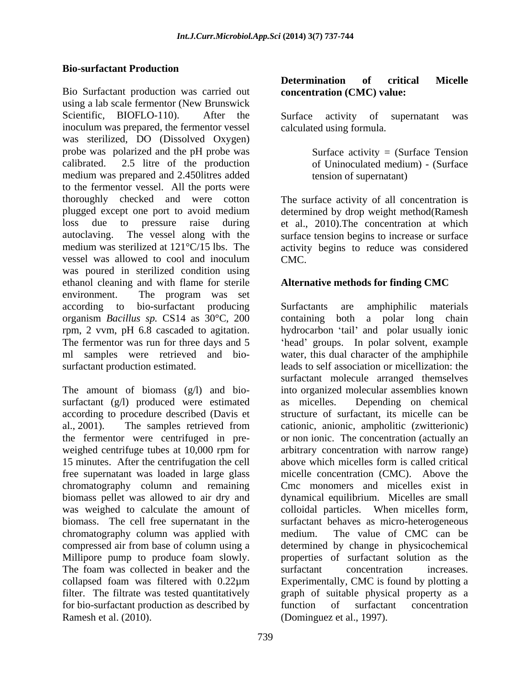### **Bio-surfactant Production**

Bio Surfactant production was carried out using a lab scale fermentor (New Brunswick Scientific, BIOFLO-110). After the Surface activity of supernatant was inoculum was prepared, the fermentor vessel was sterilized, DO (Dissolved Oxygen) probe was polarized and the pH probe was calibrated. 2.5 litre of the production of Uninoculated medium) - (Surface medium was prepared and 2.450litres added to the fermentor vessel. All the ports were thoroughly checked and were cotton The surface activity of all concentration is plugged except one port to avoid medium determined by drop weight method(Ramesh loss due to pressure raise during et al., 2010). The concentration at which autoclaving. The vessel along with the surface tension begins to increase or surface medium was sterilized at 121°C/15 lbs. The activity begins to reduce was considered vessel was allowed to cool and inoculum CMC. was poured in sterilized condition using ethanol cleaning and with flame for sterile **Alternative methods for finding CMC** environment. The program was set organism *Bacillus sp.* CS14 as 30°C, 200

surfactant (g/l) produced were estimated as micelles. Depending on chemical weighed centrifuge tubes at 10,000 rpm for 15 minutes. After the centrifugation the cell above which micelles form is called critical free supernatant was loaded in large glass biomass. The cell free supernatant in the chromatography column was applied with medium. The value of CMC can be for bio-surfactant production as described by function of surfactant concentration

## **concentration (CMC) value:**

Surface activity of supernatant was calculated using formula.

Surface activity  $=$  (Surface Tension tension of supernatant)

CMC.

### **Alternative methods for finding CMC**

according to bio-surfactant producing rpm, 2 vvm, pH 6.8 cascaded to agitation. hydrocarbon 'tail' and polar usually ionic The fermentor was run for three days and 5 Thead' groups. In polar solvent, example ml samples were retrieved and bio- water, this dualcharacter of the amphiphile surfactant production estimated. leads to self association or micellization: the The amount of biomass (g/l) and bio- into organized molecular assemblies known according to procedure described (Davis et structure of surfactant, its micelle can be al., 2001). The samples retrieved from cationic, anionic, ampholitic (zwitterionic) the fermentor were centrifuged in pre- or non ionic. The concentration (actually an chromatography column and remaining Cmc monomers and micelles exist in biomass pellet was allowed to air dry and dynamical equilibrium. Micelles are small was weighed to calculate the amount of colloidal particles. When micelles form, compressed air from base of column using a determined by change in physicochemical Millipore pump to produce foam slowly. properties of surfactant solution as the The foam was collected in beaker and the collapsed foam was filtered with 0.22µm Experimentally, CMC is found by plotting a filter. The filtrate was tested quantitatively graph of suitable physical property as a Rio Surfactor production was carried onl<br>**Concertantion** (CMC) values and **critical** Micelles of the stationary of the stationary discussion of the stationary discussion of the stationary of the stationary of the stationar Surfactants are amphiphilic materials containing both a polar long chain surfactant molecule arranged themselves as micelles. Depending on chemical arbitrary concentration with narrow range) above which micelles form is called critical micelle concentration (CMC). Above the surfactant behaves as micro-heterogeneous medium. The value of CMC can be surfactant concentration increases. function of surfactant concentration (Dominguez et al., 1997).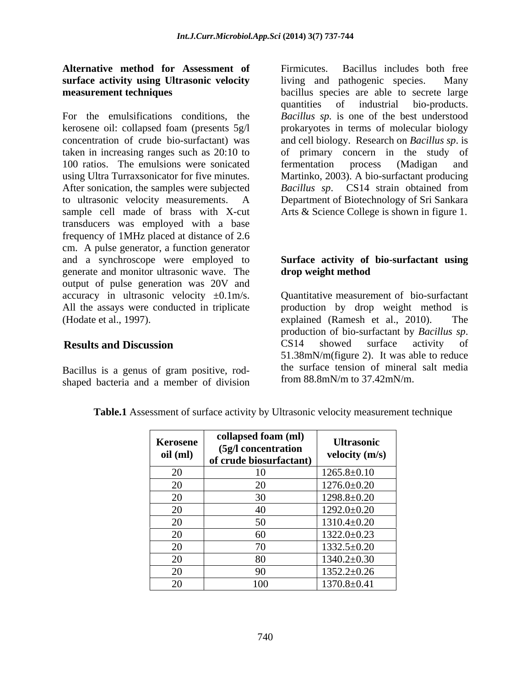## **Alternative method for Assessment of surface activity using Ultrasonic velocity**

For the emulsifications conditions, the *Bacillus sp.* is one of the best understood kerosene oil: collapsed foam (presents 5g/l prokaryotes in terms of molecular biology concentration of crude bio-surfactant) was and cell biology. Research on *Bacillus sp*. is taken in increasing ranges such as 20:10 to of primary concern in the study of 100 ratios. The emulsions were sonicated fermentation process (Madigan and using Ultra Turraxsonicator for five minutes. Martinko, 2003). A bio-surfactant producing After sonication, the samples were subjected Bacillus sp. CS14 strain obtained from to ultrasonic velocity measurements. A Department of Biotechnology of Sri Sankara sample cell made of brass with X-cut transducers was employed with a base frequency of 1MHz placed at distance of 2.6 cm. A pulse generator, a function generator and a synchroscope were employed to **Surface activity of bio-surfactant using** generate and monitor ultrasonic wave. The output of pulse generation was 20V and accuracy in ultrasonic velocity ±0.1m/s. All the assays were conducted in triplicate production by drop weight method is (Hodate et al., 1997). explained (Ramesh et al., 2010). The

Bacillus is a genus of gram positive, rod shaped bacteria and a member of division

**measurement techniques** bacillus species are able to secrete large Firmicutes. Bacillus includes both free living and pathogenic species. quantities of industrial bio-products. fermentation process (Madigan and *Bacillus sp*. CS14 strain obtained from Arts & Science College is shown in figure 1.

# **drop weight method**

**Results and Discussion** CS14 showed surface activity of Quantitative measurement of bio-surfactant production of bio-surfactant by *Bacillus sp*.<br>CS14 showed surface activity of 51.38mN/m(figure 2). It was able to reduce the surface tension of mineral salt media from 88.8mN/m to 37.42mN/m.

| <b>Table.1</b> Assessment of surface activity by Ultrasonic velocity measurement technique |  |
|--------------------------------------------------------------------------------------------|--|
|--------------------------------------------------------------------------------------------|--|

| Kerosene<br>oil (ml) | collapsed foam (ml)<br>(5g/l concentration<br>of crude biosurfactant) | <b>Ultrasonic</b><br>velocity (m/s) |
|----------------------|-----------------------------------------------------------------------|-------------------------------------|
| 20                   | 10                                                                    | $1265.8 \pm 0.10$                   |
| 20                   | 20                                                                    | $1276.0 \pm 0.20$                   |
| 20                   | 30                                                                    | $1298.8 \pm 0.20$                   |
| 20                   | 40                                                                    | $1292.0 \pm 0.20$                   |
| 20                   | 50                                                                    | $1310.4 \pm 0.20$                   |
| 20                   | 60                                                                    | $1322.0 \pm 0.23$                   |
| 20                   | 70                                                                    | $1332.5 \pm 0.20$                   |
| 20                   | 80                                                                    | $1340.2 \pm 0.30$                   |
| 20                   | 90                                                                    | $1352.2 \pm 0.26$                   |
| 20                   | 100                                                                   | $1370.8 \pm 0.41$                   |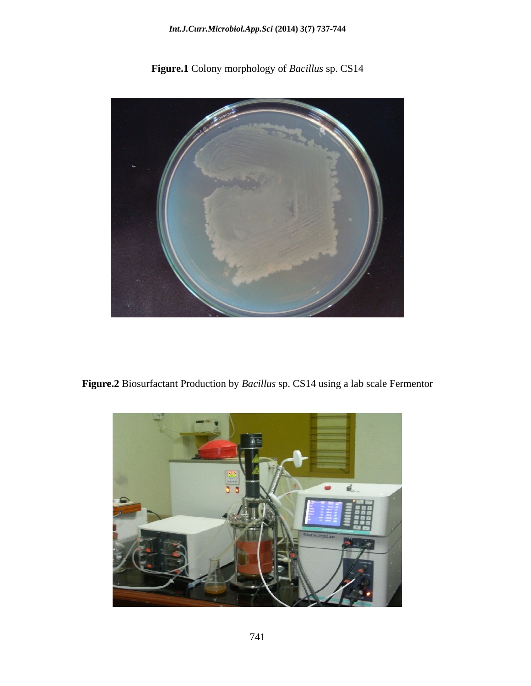### *Int.J.Curr.Microbiol.App.Sci* **(2014) 3(7) 737-744**



**Figure.1** Colony morphology of *Bacillus* sp. CS14

**Figure.2** Biosurfactant Production by *Bacillus* sp. CS14 using a lab scale Fermentor

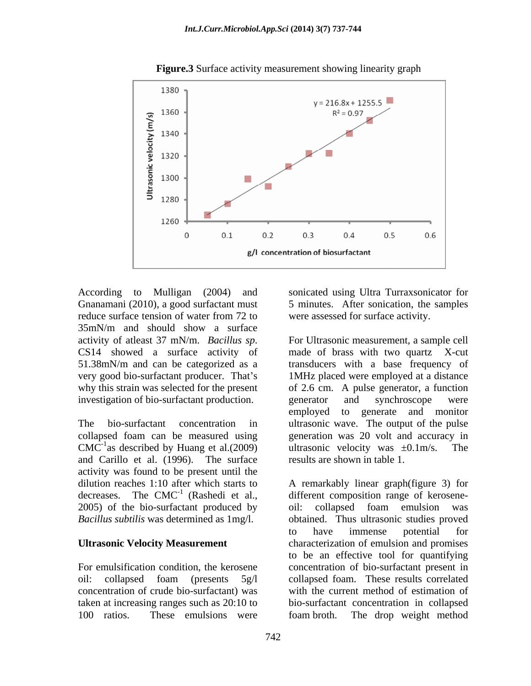

**Figure.3** Surface activity measurement showing linearity graph

According to Mulligan (2004) and sonicated using Ultra Turraxsonicator for Gnanamani (2010), a good surfactant must 5 minutes. After sonication, the samples reduce surface tension of water from 72 to were assessed for surface activity. 35mN/m and should show a surface investigation of bio-surfactant production. egenerator and synchroscope were

and Carillo et al. (1996). The surface activity was found to be present until the 2005) of the bio-surfactant produced by oil: collapsed foam emulsion was

100 ratios. These emulsions were foam broth. The drop weight method

were assessed for surface activity.

activity of atleast 37 mN/m. *Bacillus sp*. For Ultrasonic measurement, a sample cell CS14 showed a surface activity of made of brass with two quartz X-cut 51.38mN/m and can be categorized as a transducers with a base frequency of very good bio-surfactant producer. That's 1MHz placed were employed at a distance why this strain was selected for the present of 2.6 cm. A pulse generator, a function The bio-surfactant concentration in ultrasonic wave. The output of the pulse collapsed foam can be measured using generation was 20 volt and accuracy in CMC<sup>-1</sup>as described by Huang et al.(2009) ultrasonic velocity was  $\pm 0.1$  m/s. The generator and synchroscope were employed to generate and monitor ultrasonic velocity was  $\pm 0.1$  m/s. The results are shown in table 1.

dilution reaches 1:10 after which starts to A remarkably linear graph(figure 3) for decreases. The CMC<sup>-1</sup> (Rashedi et al., different composition range of kerosene-*Bacillus subtilis* was determined as 1mg/l. obtained. Thus ultrasonic studies proved **Ultrasonic Velocity Measurement** characterization of emulsion and promises For emulsification condition, the kerosene concentration of bio-surfactant present in oil: collapsed foam (presents 5g/l collapsed foam. These results correlated concentration of crude bio-surfactant) was with the current method of estimation of taken at increasing ranges such as 20:10 to bio-surfactant concentration in collapsed oil: collapsed foam emulsion was to have immense potential for to be an effective tool for quantifying collapsed foam. These results correlated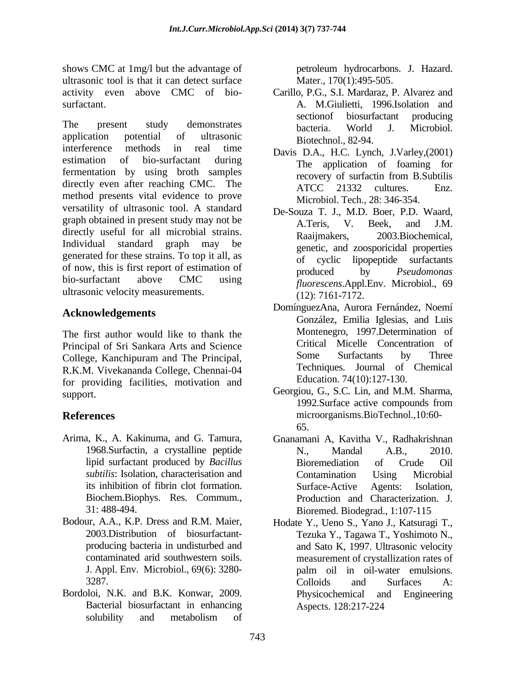shows CMC at 1mg/l but the advantage of the petroleum hydrocarbons. J. Hazard. ultrasonic tool is that it can detect surface

The present study demonstrates because world I Microbiol application potential of ultrasonic Biotechnol 82-94 interference methods in real time Davis D.A., H.C. Lynch, J.Varley,(2001) estimation of bio-surfactant during<br>The application of foaming for fermentation by using broth samples recovery of surfactin from B.Subtilis directly even after reaching CMC. The ATCC 21332 cultures. Enz. method presents vital evidence to prove versatility of ultrasonic tool. A standard graph obtained in present study may not be<br>A.Teris. V. Beek, and J.M. directly useful for all microbial strains. Raaijmakers, Individual standard graph may be genetic, and zoosporicidal properties generated for these strains. To top it all, as<br>of cyclic lipopeptide surfactants of now, this is first report of estimation of produced by *Pseudomonas* bio-surfactant above CMC using freezeons Apple From Microbiol 69 ultrasonic velocity measurements.

### **Acknowledgements**

The first author would like to thank the Principal of Sri Sankara Arts and Science<br>
Colloge Kanchinuram and The Principal<br>
Some Surfactants by Three College, Kanchipuram and The Principal, R.K.M. Vivekananda College, Chennai-04 for providing facilities, motivation and

- Arima, K., A. Kakinuma, and G. Tamura, Gnanamani A, Kavitha V., Radhakrishnan Biochem.Biophys. Res. Commum.,
- Bodour, A.A., K.P. Dress and R.M. Maier, Hodate Y., Ueno S., Yano J., Katsuragi T.,
- Bordoloi, N.K. and B.K. Konwar, 2009. Bacterial biosurfactant in enhancing solubility and metabolism of

petroleum hydrocarbons. J. Hazard. Mater., 170(1):495-505.

- activity even above CMC of bio- Carillo, P.G., S.I. Mardaraz, P. Alvarez and surfactant. A. M.Giulietti, 1996.Isolation and sectionof biosurfactant producing bacteria. World J. Microbiol. Biotechnol., 82-94.
	- recovery of surfactin from B.Subtilis ATCC 21332 cultures. Enz. Microbiol. Tech., 28: 346-354.
	- De-Souza T. J., M.D. Boer, P.D. Waard, A.Teris, V. Beek, and J.M. 2003.Biochemical, of cyclic lipopeptide surfactants produced by *Pseudomonas fluorescens*.Appl.Env. Microbiol., 69 (12): 7161-7172.
	- DomínguezAna, Aurora Fernández, Noemí González, Emilia Iglesias, and Luis Montenegro, 1997.Determination of Critical Micelle Concentration of Some Surfactants by Three Techniques. Journal of Chemical Education. 74(10):127-130.
- support. Georgiou, G., S.C. Lin, and M.M. Sharma, **References** microorganisms.BioTechnol.,10:60- 1992.Surface active compounds from 65.
	- 1968.Surfactin, a crystalline peptide lipid surfactant produced by *Bacillus subtilis*: Isolation, characterisation and its inhibition of fibrin clot formation. 31: 488-494. Bioremed. Biodegrad., 1:107-115 N., Mandal A.B., 2010. Bioremediation of Crude Oil Contamination Using Microbial Surface-Active Agents: Isolation, Production and Characterization. J.
	- 2003.Distribution of biosurfactant- Tezuka Y., Tagawa T., Yoshimoto N., producing bacteria in undisturbed and and Sato K, 1997. Ultrasonic velocity contaminated arid southwestern soils. measurement of crystallization rates of J. Appl. Env. Microbiol., 69(6): 3280- 3287. Colloids and Surfaces A: palm oil in oil-water emulsions. Colloids and Surfaces A: Physicochemical and Engineering Aspects. 128:217-224